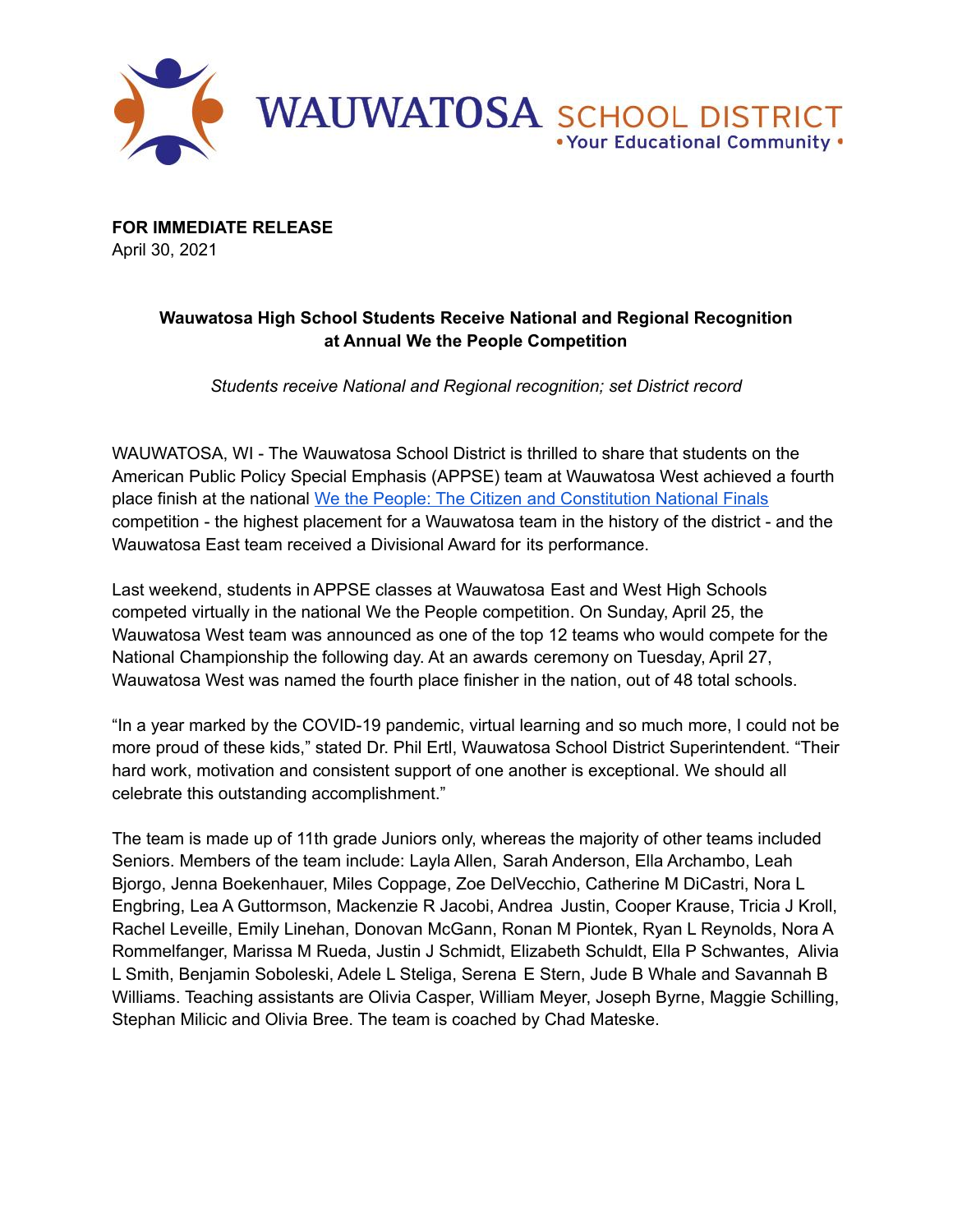

**FOR IMMEDIATE RELEASE** April 30, 2021

## **Wauwatosa High School Students Receive National and Regional Recognition at Annual We the People Competition**

*Students receive National and Regional recognition; set District record*

WAUWATOSA, WI - The Wauwatosa School District is thrilled to share that students on the American Public Policy Special Emphasis (APPSE) team at Wauwatosa West achieved a fourth place finish at the national We the People: The Citizen and [Constitution](https://www.civiced.org/we-the-people) National Finals competition - the highest placement for a Wauwatosa team in the history of the district - and the Wauwatosa East team received a Divisional Award for its performance.

Last weekend, students in APPSE classes at Wauwatosa East and West High Schools competed virtually in the national We the People competition. On Sunday, April 25, the Wauwatosa West team was announced as one of the top 12 teams who would compete for the National Championship the following day. At an awards ceremony on Tuesday, April 27, Wauwatosa West was named the fourth place finisher in the nation, out of 48 total schools.

"In a year marked by the COVID-19 pandemic, virtual learning and so much more, I could not be more proud of these kids," stated Dr. Phil Ertl, Wauwatosa School District Superintendent. "Their hard work, motivation and consistent support of one another is exceptional. We should all celebrate this outstanding accomplishment."

The team is made up of 11th grade Juniors only, whereas the majority of other teams included Seniors. Members of the team include: Layla Allen, Sarah Anderson, Ella Archambo, Leah Bjorgo, Jenna Boekenhauer, Miles Coppage, Zoe DelVecchio, Catherine M DiCastri, Nora L Engbring, Lea A Guttormson, Mackenzie R Jacobi, Andrea Justin, Cooper Krause, Tricia J Kroll, Rachel Leveille, Emily Linehan, Donovan McGann, Ronan M Piontek, Ryan L Reynolds, Nora A Rommelfanger, Marissa M Rueda, Justin J Schmidt, Elizabeth Schuldt, Ella P Schwantes, Alivia L Smith, Benjamin Soboleski, Adele L Steliga, Serena E Stern, Jude B Whale and Savannah B Williams. Teaching assistants are Olivia Casper, William Meyer, Joseph Byrne, Maggie Schilling, Stephan Milicic and Olivia Bree. The team is coached by Chad Mateske.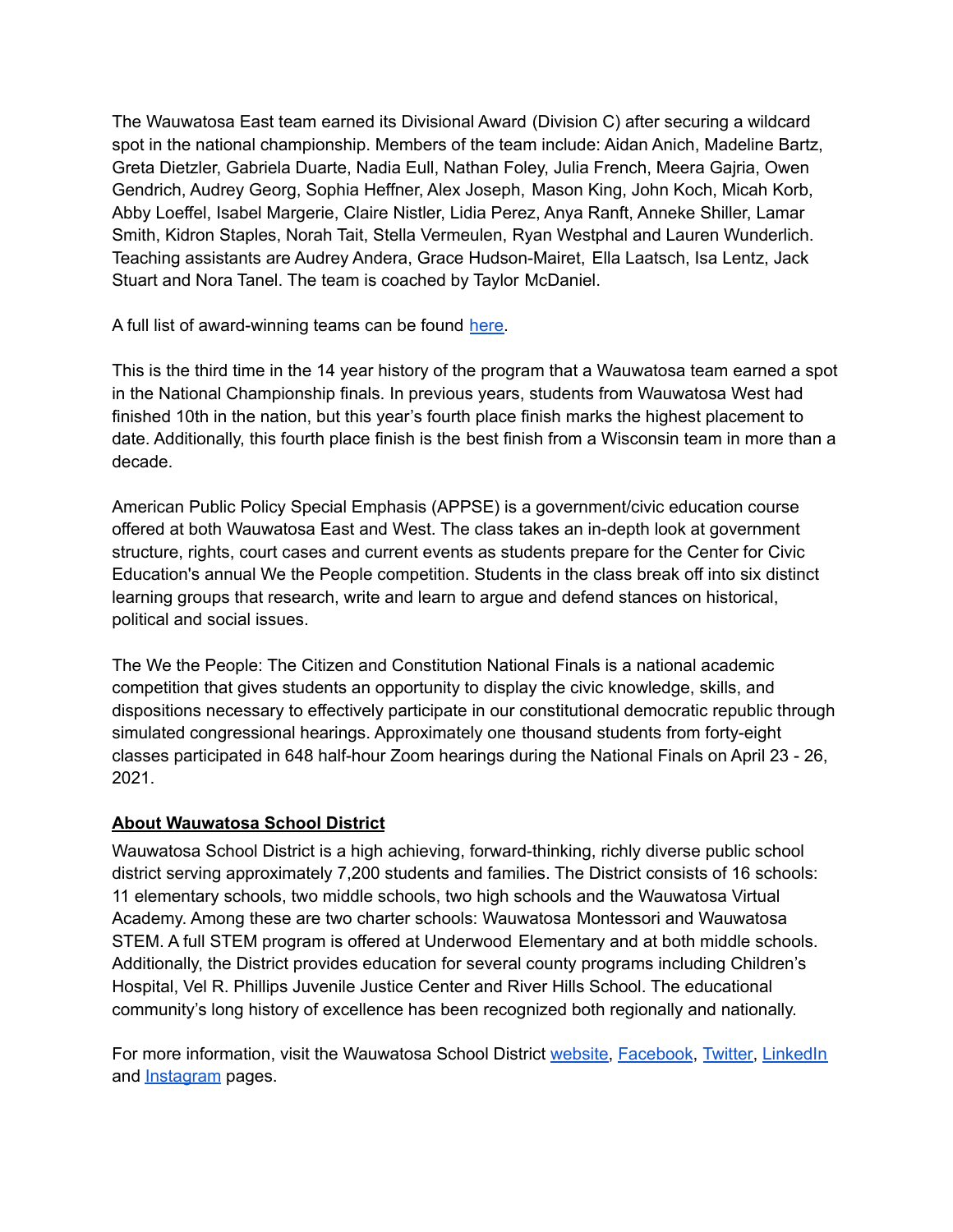The Wauwatosa East team earned its Divisional Award (Division C) after securing a wildcard spot in the national championship. Members of the team include: Aidan Anich, Madeline Bartz, Greta Dietzler, Gabriela Duarte, Nadia Eull, Nathan Foley, Julia French, Meera Gajria, Owen Gendrich, Audrey Georg, Sophia Heffner, Alex Joseph, Mason King, John Koch, Micah Korb, Abby Loeffel, Isabel Margerie, Claire Nistler, Lidia Perez, Anya Ranft, Anneke Shiller, Lamar Smith, Kidron Staples, Norah Tait, Stella Vermeulen, Ryan Westphal and Lauren Wunderlich. Teaching assistants are Audrey Andera, Grace Hudson-Mairet, Ella Laatsch, Isa Lentz, Jack Stuart and Nora Tanel. The team is coached by Taylor McDaniel.

A full list of award-winning teams can be found [here.](https://www.civiced.org/national-finals-2021-awards)

This is the third time in the 14 year history of the program that a Wauwatosa team earned a spot in the National Championship finals. In previous years, students from Wauwatosa West had finished 10th in the nation, but this year's fourth place finish marks the highest placement to date. Additionally, this fourth place finish is the best finish from a Wisconsin team in more than a decade.

American Public Policy Special Emphasis (APPSE) is a government/civic education course offered at both Wauwatosa East and West. The class takes an in-depth look at government structure, rights, court cases and current events as students prepare for the Center for Civic Education's annual We the People competition. Students in the class break off into six distinct learning groups that research, write and learn to argue and defend stances on historical, political and social issues.

The We the People: The Citizen and Constitution National Finals is a national academic competition that gives students an opportunity to display the civic knowledge, skills, and dispositions necessary to effectively participate in our constitutional democratic republic through simulated congressional hearings. Approximately one thousand students from forty-eight classes participated in 648 half-hour Zoom hearings during the National Finals on April 23 - 26, 2021.

## **About Wauwatosa School District**

Wauwatosa School District is a high achieving, forward-thinking, richly diverse public school district serving approximately 7,200 students and families. The District consists of 16 schools: 11 elementary schools, two middle schools, two high schools and the Wauwatosa Virtual Academy. Among these are two charter schools: Wauwatosa Montessori and Wauwatosa STEM. A full STEM program is offered at Underwood Elementary and at both middle schools. Additionally, the District provides education for several county programs including Children's Hospital, Vel R. Phillips Juvenile Justice Center and River Hills School. The educational community's long history of excellence has been recognized both regionally and nationally.

For more information, visit the Wauwatosa School District [website](https://www.wauwatosa.k12.wi.us/Page/1), [Facebook](https://www.facebook.com/tosaschools), [Twitter,](https://twitter.com/tosaschools) [LinkedIn](https://www.linkedin.com/company/tosaschools) and **[Instagram](https://www.instagram.com/tosaschools/)** pages.